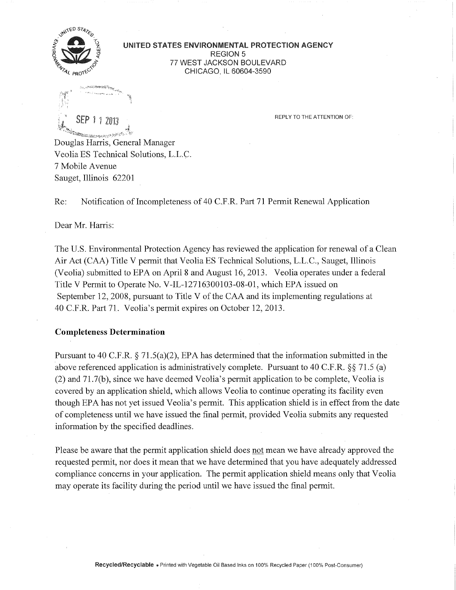

**UNITED STATES ENVIRONMENTAL PROTECTION AGENCY**  REGION 5 77 WEST JACKSON BOULEVARD CHICAGO, IL 60604-3590

Ang ketahir etamologi <sup>ya</sup>ma SEP 1 1 2013 REPLY TO THE ATTENTION OF:

Douglas Harris, General Manager Veolia ES Technical Solutions, L.L.C. 7 Mobile Avenue Sauget, Illinois 62201

Re: Notification of Incompleteness of 40 C.F.R. Part 71 Permit Renewal Application

Dear Mr. Harris:

The U.S. Environmental Protection Agency has reviewed the application for renewal of a Clean Air Act (CAA) Title V permit that Veolia ES Technical Solutions, L.L.C , Sauget, Illinois (Veolia) submitted to EPA on April 8 and August 16, 2013. Veolia operates under a federal Title V Permit to Operate No. V-IL-12716300103-08-01, which EPA issued on September 12, 2008, pursuant to Title V of the CAA and its implementing regulations at 40 C.F.R. Part 71. Veolia's permit expires on October 12, 2013.

## **Completeness Determination**

Pursuant to 40 C.F.R.  $\S 71.5(a)(2)$ , EPA has determined that the information submitted in the above referenced application is administratively complete. Pursuant to 40 C.F.R.  $\S$  71.5 (a) (2) and 71.7(b), since we have deemed Veolia's permit application to be complete, Veolia is covered by an application shield, which allows Veolia to continue operating its facility even though EPA has not yet issued Veolia's permit. This application shield is in effect from the date of completeness until we have issued the final permit, provided Veolia submits any requested information by the specified deadlines.

Please be aware that the permit application shield does not mean we have already approved the requested permit, nor does it mean that we have determined that you have adequately addressed compliance concerns in your application. The permit application shield means only that Veolia may operate its facility during the period until we have issued the final permit.